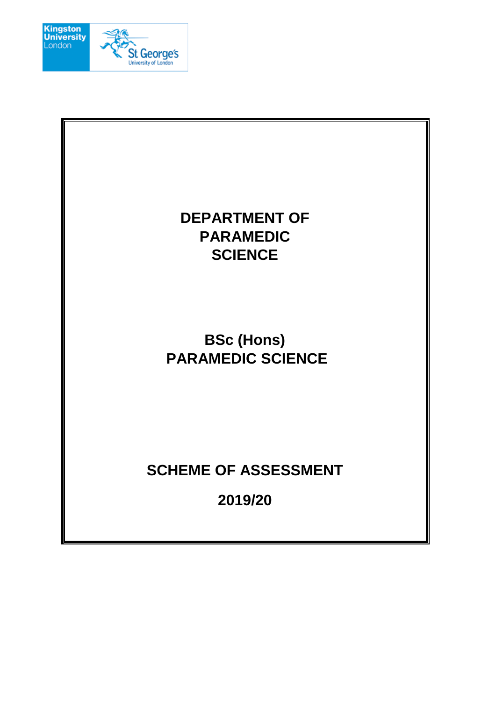

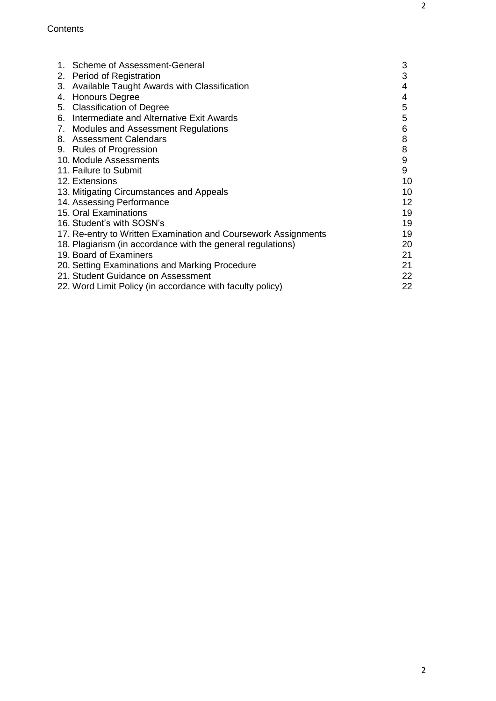| 1. Scheme of Assessment-General<br>2. Period of Registration   | 3<br>3 |  |  |
|----------------------------------------------------------------|--------|--|--|
| Available Taught Awards with Classification<br>3.              | 4      |  |  |
| <b>Honours Degree</b><br>4.                                    | 4      |  |  |
| 5. Classification of Degree                                    | 5      |  |  |
| Intermediate and Alternative Exit Awards<br>6.                 | 5      |  |  |
| 7. Modules and Assessment Regulations                          | 6      |  |  |
| 8. Assessment Calendars                                        | 8      |  |  |
| 9. Rules of Progression                                        | 8      |  |  |
| 10. Module Assessments                                         | 9      |  |  |
| 11. Failure to Submit                                          | 9      |  |  |
| 12. Extensions                                                 | 10     |  |  |
| 13. Mitigating Circumstances and Appeals                       |        |  |  |
| 14. Assessing Performance                                      |        |  |  |
| 15. Oral Examinations                                          | 19     |  |  |
| 16. Student's with SOSN's                                      | 19     |  |  |
| 17. Re-entry to Written Examination and Coursework Assignments | 19     |  |  |
| 18. Plagiarism (in accordance with the general regulations)    | 20     |  |  |
| 19. Board of Examiners                                         | 21     |  |  |
| 20. Setting Examinations and Marking Procedure                 | 21     |  |  |
| 21. Student Guidance on Assessment                             | 22     |  |  |
| 22. Word Limit Policy (in accordance with faculty policy)      | 22     |  |  |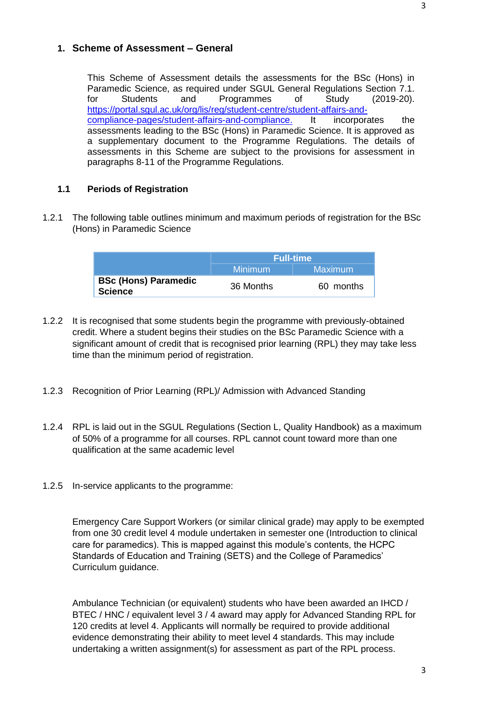This Scheme of Assessment details the assessments for the BSc (Hons) in Paramedic Science, as required under SGUL General Regulations Section 7.1.<br>For Students and Programmes of Study (2019-20). for Students and Programmes of Study (2019-20). [https://portal.sgul.ac.uk/org/lis/reg/student-centre/student-affairs-and](https://portal.sgul.ac.uk/org/lis/reg/student-centre/student-affairs-and-compliance-pages/student-affairs-and-compliance.)[compliance-pages/student-affairs-and-compliance.](https://portal.sgul.ac.uk/org/lis/reg/student-centre/student-affairs-and-compliance-pages/student-affairs-and-compliance.) It incorporates the assessments leading to the BSc (Hons) in Paramedic Science. It is approved as a supplementary document to the Programme Regulations. The details of assessments in this Scheme are subject to the provisions for assessment in paragraphs 8-11 of the Programme Regulations.

# **1.1 Periods of Registration**

1.2.1 The following table outlines minimum and maximum periods of registration for the BSc (Hons) in Paramedic Science

|                                               | <b>Full-time</b> |           |
|-----------------------------------------------|------------------|-----------|
|                                               | Minimum          | Maximum   |
| <b>BSc (Hons) Paramedic</b><br><b>Science</b> | 36 Months        | 60 months |

- 1.2.2 It is recognised that some students begin the programme with previously-obtained credit. Where a student begins their studies on the BSc Paramedic Science with a significant amount of credit that is recognised prior learning (RPL) they may take less time than the minimum period of registration.
- 1.2.3 Recognition of Prior Learning (RPL)/ Admission with Advanced Standing
- 1.2.4 RPL is laid out in the SGUL Regulations (Section L, Quality Handbook) as a maximum of 50% of a programme for all courses. RPL cannot count toward more than one qualification at the same academic level
- 1.2.5 In-service applicants to the programme:

Emergency Care Support Workers (or similar clinical grade) may apply to be exempted from one 30 credit level 4 module undertaken in semester one (Introduction to clinical care for paramedics). This is mapped against this module's contents, the HCPC Standards of Education and Training (SETS) and the College of Paramedics' Curriculum guidance.

Ambulance Technician (or equivalent) students who have been awarded an IHCD / BTEC / HNC / equivalent level 3 / 4 award may apply for Advanced Standing RPL for 120 credits at level 4. Applicants will normally be required to provide additional evidence demonstrating their ability to meet level 4 standards. This may include undertaking a written assignment(s) for assessment as part of the RPL process.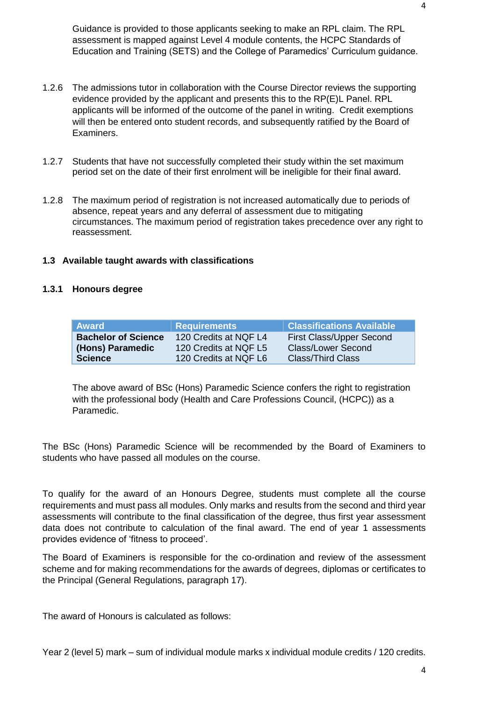Guidance is provided to those applicants seeking to make an RPL claim. The RPL assessment is mapped against Level 4 module contents, the HCPC Standards of Education and Training (SETS) and the College of Paramedics' Curriculum guidance.

- 1.2.6 The admissions tutor in collaboration with the Course Director reviews the supporting evidence provided by the applicant and presents this to the RP(E)L Panel. RPL applicants will be informed of the outcome of the panel in writing. Credit exemptions will then be entered onto student records, and subsequently ratified by the Board of Examiners.
- 1.2.7 Students that have not successfully completed their study within the set maximum period set on the date of their first enrolment will be ineligible for their final award.
- 1.2.8 The maximum period of registration is not increased automatically due to periods of absence, repeat years and any deferral of assessment due to mitigating circumstances. The maximum period of registration takes precedence over any right to reassessment.

## **1.3 Available taught awards with classifications**

### **1.3.1 Honours degree**

| <b>Award</b>               | <b>Requirements</b>   | Classifications Available <sup>'</sup> |
|----------------------------|-----------------------|----------------------------------------|
| <b>Bachelor of Science</b> | 120 Credits at NQF L4 | First Class/Upper Second               |
| (Hons) Paramedic           | 120 Credits at NQF L5 | <b>Class/Lower Second</b>              |
| <b>Science</b>             | 120 Credits at NQF L6 | <b>Class/Third Class</b>               |

The above award of BSc (Hons) Paramedic Science confers the right to registration with the professional body (Health and Care Professions Council, (HCPC)) as a Paramedic.

The BSc (Hons) Paramedic Science will be recommended by the Board of Examiners to students who have passed all modules on the course.

To qualify for the award of an Honours Degree, students must complete all the course requirements and must pass all modules. Only marks and results from the second and third year assessments will contribute to the final classification of the degree, thus first year assessment data does not contribute to calculation of the final award. The end of year 1 assessments provides evidence of 'fitness to proceed'.

The Board of Examiners is responsible for the co-ordination and review of the assessment scheme and for making recommendations for the awards of degrees, diplomas or certificates to the Principal (General Regulations, paragraph 17).

The award of Honours is calculated as follows: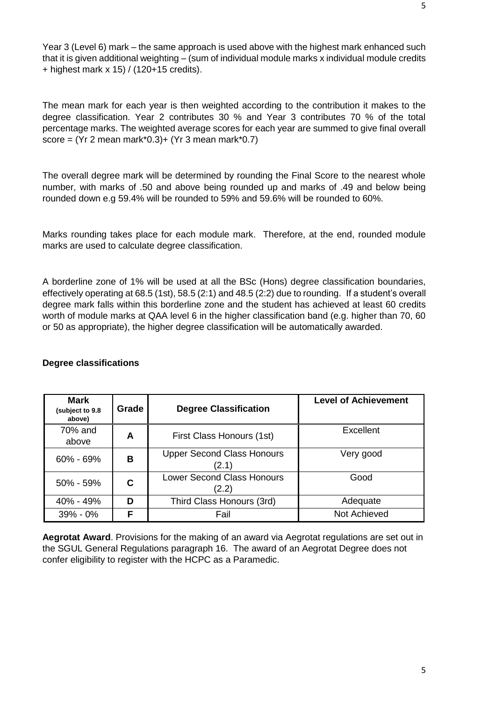The mean mark for each year is then weighted according to the contribution it makes to the degree classification. Year 2 contributes 30 % and Year 3 contributes 70 % of the total percentage marks. The weighted average scores for each year are summed to give final overall score =  $(Yr 2$  mean mark\*0.3)+  $(Yr 3$  mean mark\*0.7)

The overall degree mark will be determined by rounding the Final Score to the nearest whole number, with marks of .50 and above being rounded up and marks of .49 and below being rounded down e.g 59.4% will be rounded to 59% and 59.6% will be rounded to 60%.

Marks rounding takes place for each module mark. Therefore, at the end, rounded module marks are used to calculate degree classification.

A borderline zone of 1% will be used at all the BSc (Hons) degree classification boundaries, effectively operating at 68.5 (1st), 58.5 (2:1) and 48.5 (2:2) due to rounding. If a student's overall degree mark falls within this borderline zone and the student has achieved at least 60 credits worth of module marks at QAA level 6 in the higher classification band (e.g. higher than 70, 60 or 50 as appropriate), the higher degree classification will be automatically awarded.

| <b>Mark</b><br>(subject to 9.8<br>above) | Grade | <b>Degree Classification</b>               | <b>Level of Achievement</b> |
|------------------------------------------|-------|--------------------------------------------|-----------------------------|
| 70% and<br>above                         | A     | First Class Honours (1st)                  | Excellent                   |
| $60\% - 69\%$                            | в     | <b>Upper Second Class Honours</b><br>(2.1) | Very good                   |
| $50\% - 59\%$                            | С     | <b>Lower Second Class Honours</b><br>(2.2) | Good                        |
| 40% - 49%                                | D     | Third Class Honours (3rd)                  | Adequate                    |
| $39\% - 0\%$                             | F     | Fail                                       | Not Achieved                |

## **Degree classifications**

**Aegrotat Award**. Provisions for the making of an award via Aegrotat regulations are set out in the SGUL General Regulations paragraph 16. The award of an Aegrotat Degree does not confer eligibility to register with the HCPC as a Paramedic.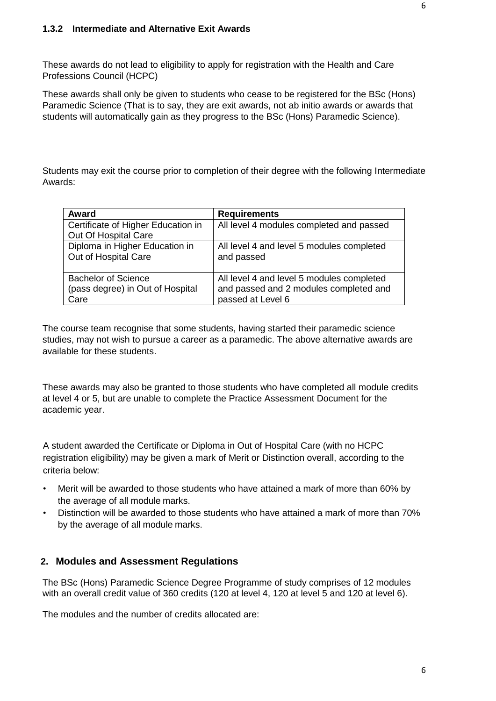These awards do not lead to eligibility to apply for registration with the Health and Care Professions Council (HCPC)

These awards shall only be given to students who cease to be registered for the BSc (Hons) Paramedic Science (That is to say, they are exit awards, not ab initio awards or awards that students will automatically gain as they progress to the BSc (Hons) Paramedic Science).

Students may exit the course prior to completion of their degree with the following Intermediate Awards:

| Award                                                      | <b>Requirements</b>                       |
|------------------------------------------------------------|-------------------------------------------|
| Certificate of Higher Education in<br>Out Of Hospital Care | All level 4 modules completed and passed  |
| Diploma in Higher Education in                             | All level 4 and level 5 modules completed |
| Out of Hospital Care                                       | and passed                                |
| <b>Bachelor of Science</b>                                 | All level 4 and level 5 modules completed |
| (pass degree) in Out of Hospital                           | and passed and 2 modules completed and    |
| Care                                                       | passed at Level 6                         |

The course team recognise that some students, having started their paramedic science studies, may not wish to pursue a career as a paramedic. The above alternative awards are available for these students.

These awards may also be granted to those students who have completed all module credits at level 4 or 5, but are unable to complete the Practice Assessment Document for the academic year.

A student awarded the Certificate or Diploma in Out of Hospital Care (with no HCPC registration eligibility) may be given a mark of Merit or Distinction overall, according to the criteria below:

- Merit will be awarded to those students who have attained a mark of more than 60% by the average of all module marks.
- Distinction will be awarded to those students who have attained a mark of more than 70% by the average of all module marks.

# **2. Modules and Assessment Regulations**

The BSc (Hons) Paramedic Science Degree Programme of study comprises of 12 modules with an overall credit value of 360 credits (120 at level 4, 120 at level 5 and 120 at level 6).

The modules and the number of credits allocated are: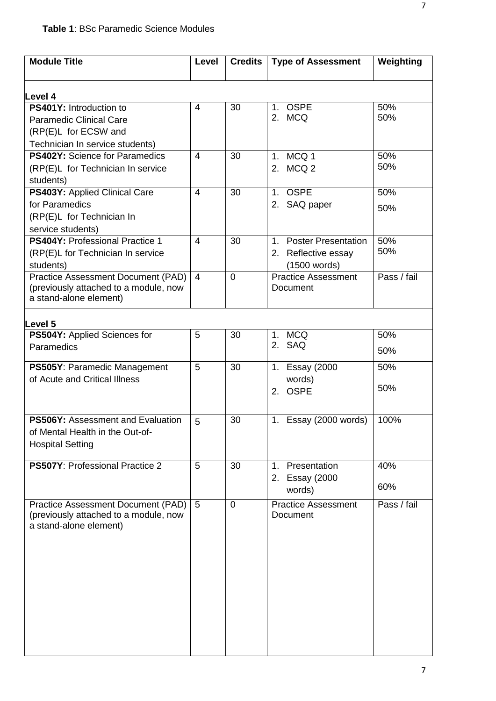| <b>Module Title</b>                                                         | Level          | <b>Credits</b> | <b>Type of Assessment</b>                     | Weighting   |
|-----------------------------------------------------------------------------|----------------|----------------|-----------------------------------------------|-------------|
|                                                                             |                |                |                                               |             |
| Level 4<br>PS401Y: Introduction to                                          | $\overline{4}$ | 30             | <b>OSPE</b><br>1 <sub>1</sub>                 | 50%         |
| <b>Paramedic Clinical Care</b>                                              |                |                | 2. MCQ                                        | 50%         |
| (RP(E)L for ECSW and                                                        |                |                |                                               |             |
| Technician In service students)                                             |                |                |                                               |             |
| <b>PS402Y:</b> Science for Paramedics                                       | $\overline{4}$ | 30             | MCQ 1<br>1 <sub>1</sub>                       | 50%         |
| (RP(E)L for Technician In service                                           |                |                | 2. MCQ 2                                      | 50%         |
| students)                                                                   |                |                |                                               |             |
| PS403Y: Applied Clinical Care                                               | $\overline{4}$ | 30             | <b>OSPE</b><br>1 <sub>1</sub>                 | 50%         |
| for Paramedics                                                              |                |                | 2. SAQ paper                                  | 50%         |
| (RP(E)L for Technician In                                                   |                |                |                                               |             |
| service students)                                                           |                |                |                                               |             |
| <b>PS404Y: Professional Practice 1</b>                                      | $\overline{4}$ | 30             | <b>Poster Presentation</b><br>1 <sub>1</sub>  | 50%         |
| (RP(E)L for Technician In service                                           |                |                | 2. Reflective essay                           | 50%         |
| students)                                                                   |                |                | (1500 words)                                  |             |
| <b>Practice Assessment Document (PAD)</b>                                   | $\overline{4}$ | $\overline{0}$ | <b>Practice Assessment</b>                    | Pass / fail |
| (previously attached to a module, now<br>a stand-alone element)             |                |                | Document                                      |             |
|                                                                             |                |                |                                               |             |
| Level <sub>5</sub>                                                          |                |                |                                               |             |
| PS504Y: Applied Sciences for                                                | 5              | 30             | 1. MCQ                                        | 50%         |
| Paramedics                                                                  |                |                | 2. SAQ                                        | 50%         |
| PS505Y: Paramedic Management                                                | 5              | 30             | <b>Essay (2000</b><br>1.                      | 50%         |
| of Acute and Critical Illness                                               |                |                | words)                                        |             |
|                                                                             |                |                | <b>OSPE</b><br>2.                             | 50%         |
|                                                                             |                |                |                                               |             |
| <b>PS506Y: Assessment and Evaluation</b>                                    | 5              | 30             | 1. Essay (2000 words)                         | 100%        |
| of Mental Health in the Out-of-                                             |                |                |                                               |             |
| <b>Hospital Setting</b>                                                     |                |                |                                               |             |
|                                                                             |                |                |                                               |             |
| PS507Y: Professional Practice 2                                             | 5              | 30             | Presentation<br>1 <sub>1</sub>                | 40%         |
|                                                                             |                |                | 2. Essay (2000                                | 60%         |
|                                                                             |                |                | words)                                        |             |
| Practice Assessment Document (PAD)<br>(previously attached to a module, now | 5              | $\mathbf 0$    | <b>Practice Assessment</b><br><b>Document</b> | Pass / fail |
| a stand-alone element)                                                      |                |                |                                               |             |
|                                                                             |                |                |                                               |             |
|                                                                             |                |                |                                               |             |
|                                                                             |                |                |                                               |             |
|                                                                             |                |                |                                               |             |
|                                                                             |                |                |                                               |             |
|                                                                             |                |                |                                               |             |
|                                                                             |                |                |                                               |             |
|                                                                             |                |                |                                               |             |
|                                                                             |                |                |                                               |             |
|                                                                             |                |                |                                               |             |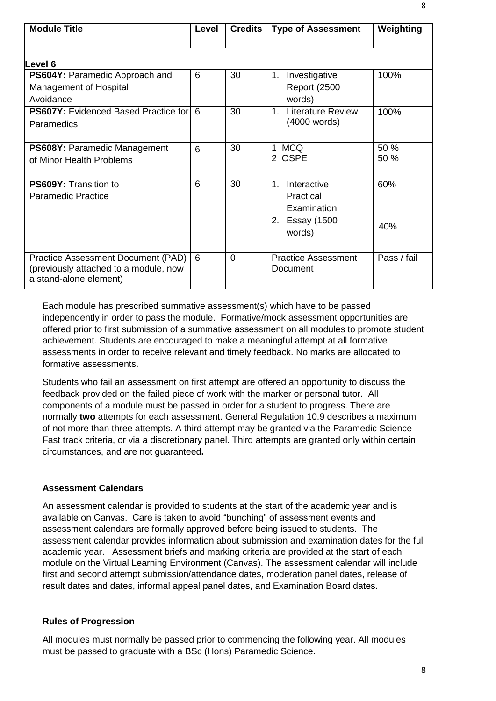| <b>Module Title</b>                                                                                   | Level | <b>Credits</b> | <b>Type of Assessment</b>                                                          | Weighting    |
|-------------------------------------------------------------------------------------------------------|-------|----------------|------------------------------------------------------------------------------------|--------------|
| Level 6                                                                                               |       |                |                                                                                    |              |
| PS604Y: Paramedic Approach and<br>Management of Hospital<br>Avoidance                                 | 6     | 30             | Investigative<br>$1_{-}$<br><b>Report (2500)</b><br>words)                         | 100%         |
| <b>PS607Y:</b> Evidenced Based Practice for 6<br>Paramedics                                           |       | 30             | <b>Literature Review</b><br>1<br>(4000 words)                                      | 100%         |
| <b>PS608Y: Paramedic Management</b><br>of Minor Health Problems                                       | 6     | 30             | 1 MCQ<br>2 OSPE                                                                    | 50 %<br>50 % |
| PS609Y: Transition to<br><b>Paramedic Practice</b>                                                    | 6     | 30             | Interactive<br>1<br>Practical<br>Examination<br><b>Essay (1500</b><br>2.<br>words) | 60%<br>40%   |
| Practice Assessment Document (PAD)<br>(previously attached to a module, now<br>a stand-alone element) | 6     | $\Omega$       | <b>Practice Assessment</b><br>Document                                             | Pass / fail  |

Each module has prescribed summative assessment(s) which have to be passed independently in order to pass the module. Formative/mock assessment opportunities are offered prior to first submission of a summative assessment on all modules to promote student achievement. Students are encouraged to make a meaningful attempt at all formative assessments in order to receive relevant and timely feedback. No marks are allocated to formative assessments.

Students who fail an assessment on first attempt are offered an opportunity to discuss the feedback provided on the failed piece of work with the marker or personal tutor. All components of a module must be passed in order for a student to progress. There are normally **two** attempts for each assessment. General Regulation 10.9 describes a maximum of not more than three attempts. A third attempt may be granted via the Paramedic Science Fast track criteria, or via a discretionary panel. Third attempts are granted only within certain circumstances, and are not guaranteed**.**

## **Assessment Calendars**

An assessment calendar is provided to students at the start of the academic year and is available on Canvas. Care is taken to avoid "bunching" of assessment events and assessment calendars are formally approved before being issued to students. The assessment calendar provides information about submission and examination dates for the full academic year. Assessment briefs and marking criteria are provided at the start of each module on the Virtual Learning Environment (Canvas). The assessment calendar will include first and second attempt submission/attendance dates, moderation panel dates, release of result dates and dates, informal appeal panel dates, and Examination Board dates.

### **Rules of Progression**

All modules must normally be passed prior to commencing the following year. All modules must be passed to graduate with a BSc (Hons) Paramedic Science.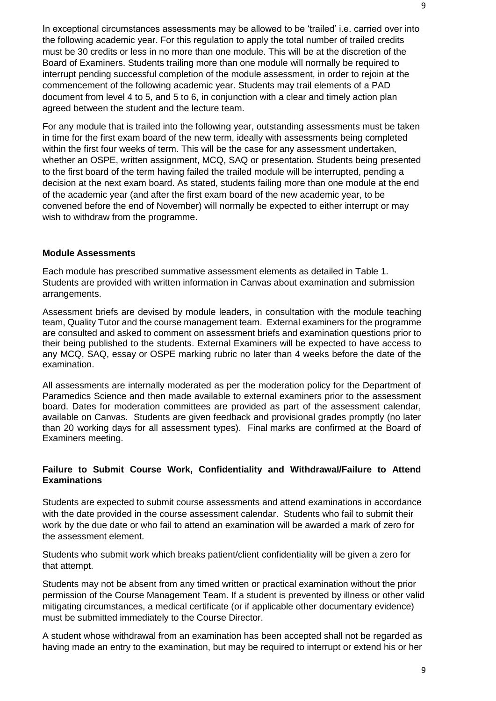In exceptional circumstances assessments may be allowed to be 'trailed' i.e. carried over into the following academic year. For this regulation to apply the total number of trailed credits must be 30 credits or less in no more than one module. This will be at the discretion of the Board of Examiners. Students trailing more than one module will normally be required to interrupt pending successful completion of the module assessment, in order to rejoin at the commencement of the following academic year. Students may trail elements of a PAD document from level 4 to 5, and 5 to 6, in conjunction with a clear and timely action plan agreed between the student and the lecture team.

For any module that is trailed into the following year, outstanding assessments must be taken in time for the first exam board of the new term, ideally with assessments being completed within the first four weeks of term. This will be the case for any assessment undertaken, whether an OSPE, written assignment, MCQ, SAQ or presentation. Students being presented to the first board of the term having failed the trailed module will be interrupted, pending a decision at the next exam board. As stated, students failing more than one module at the end of the academic year (and after the first exam board of the new academic year, to be convened before the end of November) will normally be expected to either interrupt or may wish to withdraw from the programme.

### **Module Assessments**

Each module has prescribed summative assessment elements as detailed in Table 1. Students are provided with written information in Canvas about examination and submission arrangements.

Assessment briefs are devised by module leaders, in consultation with the module teaching team, Quality Tutor and the course management team. External examiners for the programme are consulted and asked to comment on assessment briefs and examination questions prior to their being published to the students. External Examiners will be expected to have access to any MCQ, SAQ, essay or OSPE marking rubric no later than 4 weeks before the date of the examination.

All assessments are internally moderated as per the moderation policy for the Department of Paramedics Science and then made available to external examiners prior to the assessment board. Dates for moderation committees are provided as part of the assessment calendar, available on Canvas. Students are given feedback and provisional grades promptly (no later than 20 working days for all assessment types). Final marks are confirmed at the Board of Examiners meeting.

## **Failure to Submit Course Work, Confidentiality and Withdrawal/Failure to Attend Examinations**

Students are expected to submit course assessments and attend examinations in accordance with the date provided in the course assessment calendar. Students who fail to submit their work by the due date or who fail to attend an examination will be awarded a mark of zero for the assessment element.

Students who submit work which breaks patient/client confidentiality will be given a zero for that attempt.

Students may not be absent from any timed written or practical examination without the prior permission of the Course Management Team. If a student is prevented by illness or other valid mitigating circumstances, a medical certificate (or if applicable other documentary evidence) must be submitted immediately to the Course Director.

A student whose withdrawal from an examination has been accepted shall not be regarded as having made an entry to the examination, but may be required to interrupt or extend his or her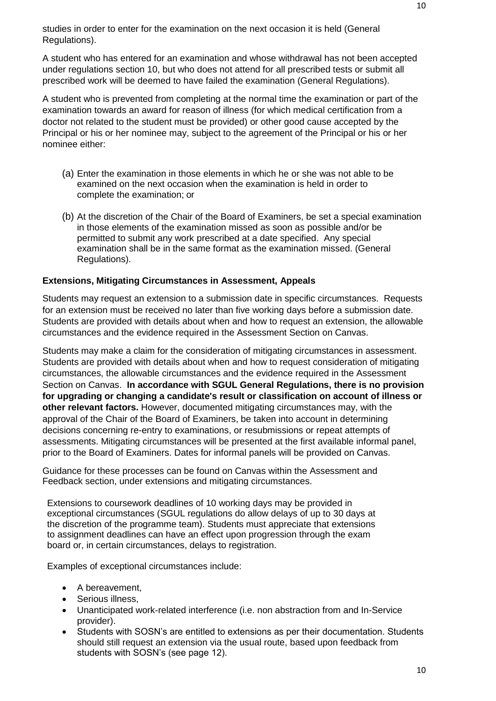studies in order to enter for the examination on the next occasion it is held (General Regulations).

A student who has entered for an examination and whose withdrawal has not been accepted under regulations section 10, but who does not attend for all prescribed tests or submit all prescribed work will be deemed to have failed the examination (General Regulations).

A student who is prevented from completing at the normal time the examination or part of the examination towards an award for reason of illness (for which medical certification from a doctor not related to the student must be provided) or other good cause accepted by the Principal or his or her nominee may, subject to the agreement of the Principal or his or her nominee either:

- (a) Enter the examination in those elements in which he or she was not able to be examined on the next occasion when the examination is held in order to complete the examination; or
- (b) At the discretion of the Chair of the Board of Examiners, be set a special examination in those elements of the examination missed as soon as possible and/or be permitted to submit any work prescribed at a date specified. Any special examination shall be in the same format as the examination missed. (General Regulations).

# **Extensions, Mitigating Circumstances in Assessment, Appeals**

Students may request an extension to a submission date in specific circumstances. Requests for an extension must be received no later than five working days before a submission date. Students are provided with details about when and how to request an extension, the allowable circumstances and the evidence required in the Assessment Section on Canvas.

Students may make a claim for the consideration of mitigating circumstances in assessment. Students are provided with details about when and how to request consideration of mitigating circumstances, the allowable circumstances and the evidence required in the Assessment Section on Canvas. **In accordance with SGUL General Regulations, there is no provision for upgrading or changing a candidate's result or classification on account of illness or other relevant factors.** However, documented mitigating circumstances may, with the approval of the Chair of the Board of Examiners, be taken into account in determining decisions concerning re-entry to examinations, or resubmissions or repeat attempts of assessments. Mitigating circumstances will be presented at the first available informal panel, prior to the Board of Examiners. Dates for informal panels will be provided on Canvas.

Guidance for these processes can be found on Canvas within the Assessment and Feedback section, under extensions and mitigating circumstances.

Extensions to coursework deadlines of 10 working days may be provided in exceptional circumstances (SGUL regulations do allow delays of up to 30 days at the discretion of the programme team). Students must appreciate that extensions to assignment deadlines can have an effect upon progression through the exam board or, in certain circumstances, delays to registration.

Examples of exceptional circumstances include:

- A bereavement,
- Serious illness,
- Unanticipated work-related interference (i.e. non abstraction from and In-Service provider).
- Students with SOSN's are entitled to extensions as per their documentation. Students should still request an extension via the usual route, based upon feedback from students with SOSN's (see page 12).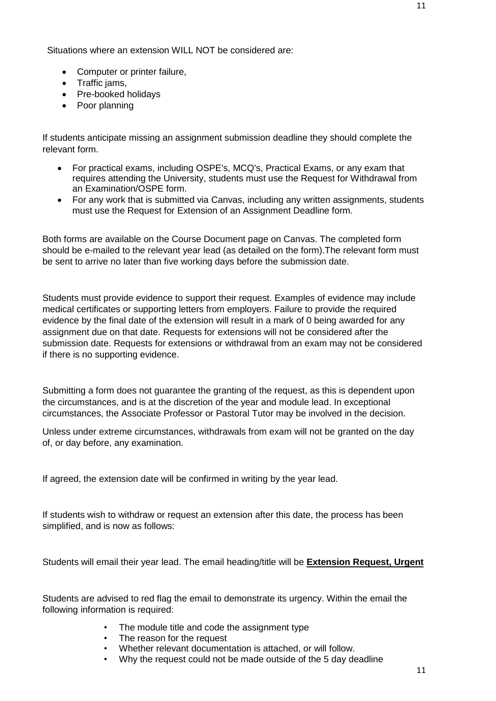Situations where an extension WILL NOT be considered are:

- Computer or printer failure,
- Traffic jams,
- Pre-booked holidays
- Poor planning

If students anticipate missing an assignment submission deadline they should complete the relevant form.

- For practical exams, including OSPE's, MCQ's, Practical Exams, or any exam that requires attending the University, students must use the Request for Withdrawal from an Examination/OSPE form.
- For any work that is submitted via Canvas, including any written assignments, students must use the Request for Extension of an Assignment Deadline form.

Both forms are available on the Course Document page on Canvas. The completed form should be e-mailed to the relevant year lead (as detailed on the form).The relevant form must be sent to arrive no later than five working days before the submission date.

Students must provide evidence to support their request. Examples of evidence may include medical certificates or supporting letters from employers. Failure to provide the required evidence by the final date of the extension will result in a mark of 0 being awarded for any assignment due on that date. Requests for extensions will not be considered after the submission date. Requests for extensions or withdrawal from an exam may not be considered if there is no supporting evidence.

Submitting a form does not guarantee the granting of the request, as this is dependent upon the circumstances, and is at the discretion of the year and module lead. In exceptional circumstances, the Associate Professor or Pastoral Tutor may be involved in the decision.

Unless under extreme circumstances, withdrawals from exam will not be granted on the day of, or day before, any examination.

If agreed, the extension date will be confirmed in writing by the year lead.

If students wish to withdraw or request an extension after this date, the process has been simplified, and is now as follows:

Students will email their year lead. The email heading/title will be **Extension Request, Urgent**

Students are advised to red flag the email to demonstrate its urgency. Within the email the following information is required:

- The module title and code the assignment type
- The reason for the request
- Whether relevant documentation is attached, or will follow.
- Why the request could not be made outside of the 5 day deadline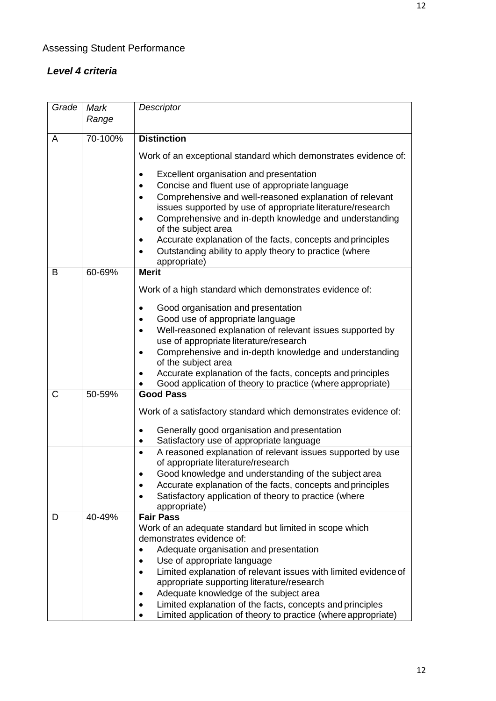# *Level 4 criteria*

| Grade | Mark    | Descriptor                                                                                       |
|-------|---------|--------------------------------------------------------------------------------------------------|
|       | Range   |                                                                                                  |
|       |         |                                                                                                  |
| A     | 70-100% | <b>Distinction</b>                                                                               |
|       |         | Work of an exceptional standard which demonstrates evidence of:                                  |
|       |         | Excellent organisation and presentation                                                          |
|       |         | Concise and fluent use of appropriate language                                                   |
|       |         | Comprehensive and well-reasoned explanation of relevant                                          |
|       |         | issues supported by use of appropriate literature/research                                       |
|       |         | Comprehensive and in-depth knowledge and understanding<br>$\bullet$<br>of the subject area       |
|       |         | Accurate explanation of the facts, concepts and principles                                       |
|       |         | Outstanding ability to apply theory to practice (where                                           |
|       |         | appropriate)                                                                                     |
| B     | 60-69%  | <b>Merit</b>                                                                                     |
|       |         | Work of a high standard which demonstrates evidence of:                                          |
|       |         | Good organisation and presentation                                                               |
|       |         | Good use of appropriate language                                                                 |
|       |         | Well-reasoned explanation of relevant issues supported by                                        |
|       |         | use of appropriate literature/research                                                           |
|       |         | Comprehensive and in-depth knowledge and understanding<br>٠                                      |
|       |         | of the subject area                                                                              |
|       |         | Accurate explanation of the facts, concepts and principles                                       |
|       |         | Good application of theory to practice (where appropriate)                                       |
| C     | 50-59%  | <b>Good Pass</b>                                                                                 |
|       |         | Work of a satisfactory standard which demonstrates evidence of:                                  |
|       |         | Generally good organisation and presentation                                                     |
|       |         | Satisfactory use of appropriate language                                                         |
|       |         | A reasoned explanation of relevant issues supported by use<br>of appropriate literature/research |
|       |         | Good knowledge and understanding of the subject area                                             |
|       |         | Accurate explanation of the facts, concepts and principles                                       |
|       |         | Satisfactory application of theory to practice (where                                            |
|       |         | appropriate)                                                                                     |
| D     | 40-49%  | <b>Fair Pass</b>                                                                                 |
|       |         | Work of an adequate standard but limited in scope which                                          |
|       |         | demonstrates evidence of:                                                                        |
|       |         | Adequate organisation and presentation                                                           |
|       |         | Use of appropriate language                                                                      |
|       |         | Limited explanation of relevant issues with limited evidence of                                  |
|       |         | appropriate supporting literature/research                                                       |
|       |         | Adequate knowledge of the subject area                                                           |
|       |         | Limited explanation of the facts, concepts and principles                                        |
|       |         | Limited application of theory to practice (where appropriate)                                    |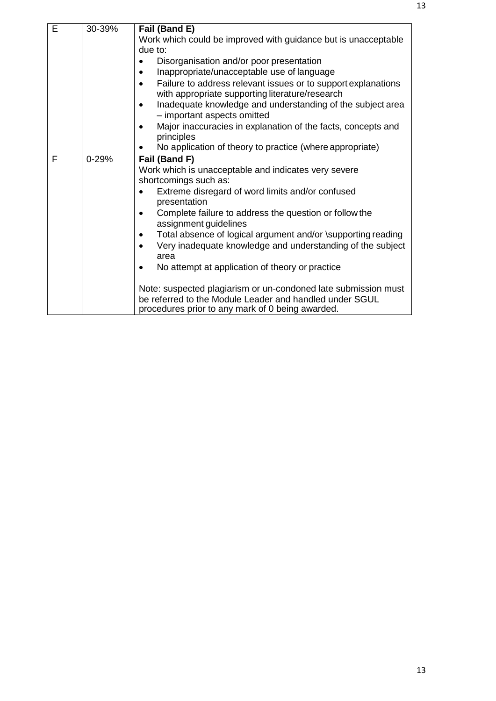| E | 30-39%    | Fail (Band E)<br>Work which could be improved with guidance but is unacceptable<br>due to:<br>Disorganisation and/or poor presentation<br>Inappropriate/unacceptable use of language<br>Failure to address relevant issues or to support explanations                                                                                                                                                                                                                                                                                                                            |
|---|-----------|----------------------------------------------------------------------------------------------------------------------------------------------------------------------------------------------------------------------------------------------------------------------------------------------------------------------------------------------------------------------------------------------------------------------------------------------------------------------------------------------------------------------------------------------------------------------------------|
|   |           | with appropriate supporting literature/research<br>Inadequate knowledge and understanding of the subject area<br>٠<br>- important aspects omitted                                                                                                                                                                                                                                                                                                                                                                                                                                |
|   |           | Major inaccuracies in explanation of the facts, concepts and<br>principles                                                                                                                                                                                                                                                                                                                                                                                                                                                                                                       |
|   |           | No application of theory to practice (where appropriate)                                                                                                                                                                                                                                                                                                                                                                                                                                                                                                                         |
| F | $0 - 29%$ | Fail (Band F)<br>Work which is unacceptable and indicates very severe<br>shortcomings such as:<br>Extreme disregard of word limits and/or confused<br>presentation<br>Complete failure to address the question or follow the<br>assignment guidelines<br>Total absence of logical argument and/or \supporting reading<br>٠<br>Very inadequate knowledge and understanding of the subject<br>area<br>No attempt at application of theory or practice<br>Note: suspected plagiarism or un-condoned late submission must<br>be referred to the Module Leader and handled under SGUL |
|   |           | procedures prior to any mark of 0 being awarded.                                                                                                                                                                                                                                                                                                                                                                                                                                                                                                                                 |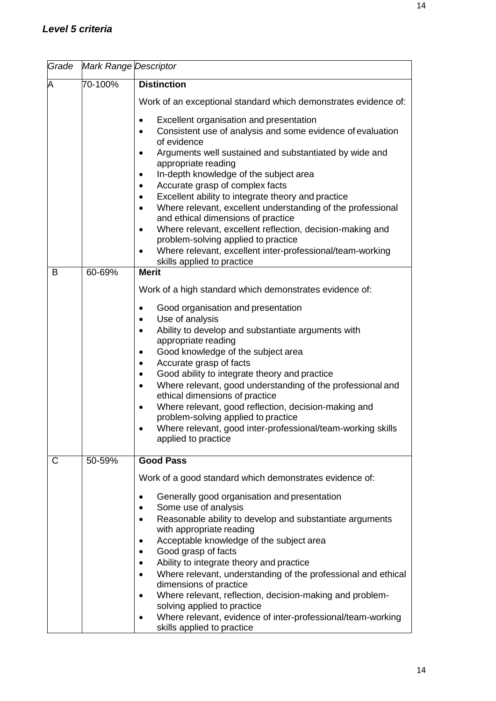| Grade | Mark Range Descriptor |                                                                                                                |
|-------|-----------------------|----------------------------------------------------------------------------------------------------------------|
| A     | 70-100%               | <b>Distinction</b><br>Work of an exceptional standard which demonstrates evidence of:                          |
|       |                       |                                                                                                                |
|       |                       | Excellent organisation and presentation                                                                        |
|       |                       | Consistent use of analysis and some evidence of evaluation<br>$\bullet$<br>of evidence                         |
|       |                       | Arguments well sustained and substantiated by wide and<br>$\bullet$                                            |
|       |                       | appropriate reading<br>In-depth knowledge of the subject area                                                  |
|       |                       | ٠<br>Accurate grasp of complex facts<br>٠                                                                      |
|       |                       | Excellent ability to integrate theory and practice<br>$\bullet$                                                |
|       |                       | Where relevant, excellent understanding of the professional<br>$\bullet$<br>and ethical dimensions of practice |
|       |                       | Where relevant, excellent reflection, decision-making and<br>$\bullet$<br>problem-solving applied to practice  |
|       |                       | Where relevant, excellent inter-professional/team-working<br>skills applied to practice                        |
| B     | $60 - 69\%$           | <b>Merit</b>                                                                                                   |
|       |                       | Work of a high standard which demonstrates evidence of:                                                        |
|       |                       | Good organisation and presentation<br>$\bullet$                                                                |
|       |                       | Use of analysis<br>$\bullet$                                                                                   |
|       |                       | Ability to develop and substantiate arguments with<br>$\bullet$                                                |
|       |                       | appropriate reading<br>Good knowledge of the subject area<br>$\bullet$                                         |
|       |                       | Accurate grasp of facts<br>$\bullet$                                                                           |
|       |                       | Good ability to integrate theory and practice<br>$\bullet$                                                     |
|       |                       | Where relevant, good understanding of the professional and<br>$\bullet$                                        |
|       |                       | ethical dimensions of practice                                                                                 |
|       |                       | Where relevant, good reflection, decision-making and<br>$\bullet$                                              |
|       |                       | problem-solving applied to practice<br>Where relevant, good inter-professional/team-working skills             |
|       |                       | applied to practice                                                                                            |
| C     | 50-59%                | <b>Good Pass</b>                                                                                               |
|       |                       | Work of a good standard which demonstrates evidence of:                                                        |
|       |                       | Generally good organisation and presentation<br>٠                                                              |
|       |                       | Some use of analysis                                                                                           |
|       |                       | Reasonable ability to develop and substantiate arguments<br>with appropriate reading                           |
|       |                       | Acceptable knowledge of the subject area                                                                       |
|       |                       | Good grasp of facts                                                                                            |
|       |                       | Ability to integrate theory and practice                                                                       |
|       |                       | Where relevant, understanding of the professional and ethical                                                  |
|       |                       | dimensions of practice<br>Where relevant, reflection, decision-making and problem-                             |
|       |                       | solving applied to practice                                                                                    |
|       |                       | Where relevant, evidence of inter-professional/team-working<br>skills applied to practice                      |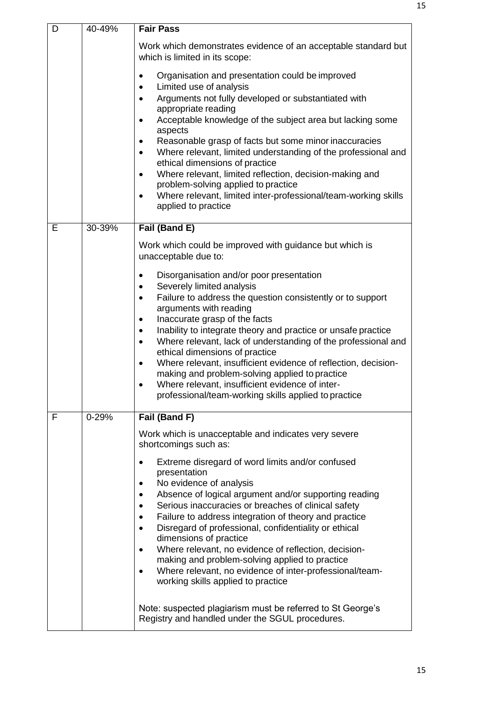| D | 40-49%    | <b>Fair Pass</b>                                                                                                                                                                                                                                                                                                                                                                                                                                                                                                                                                                                                                                                                                  |
|---|-----------|---------------------------------------------------------------------------------------------------------------------------------------------------------------------------------------------------------------------------------------------------------------------------------------------------------------------------------------------------------------------------------------------------------------------------------------------------------------------------------------------------------------------------------------------------------------------------------------------------------------------------------------------------------------------------------------------------|
|   |           | Work which demonstrates evidence of an acceptable standard but<br>which is limited in its scope:                                                                                                                                                                                                                                                                                                                                                                                                                                                                                                                                                                                                  |
|   |           | Organisation and presentation could be improved<br>$\bullet$<br>Limited use of analysis<br>$\bullet$<br>Arguments not fully developed or substantiated with<br>$\bullet$<br>appropriate reading<br>Acceptable knowledge of the subject area but lacking some<br>$\bullet$<br>aspects<br>Reasonable grasp of facts but some minor inaccuracies<br>$\bullet$<br>Where relevant, limited understanding of the professional and<br>$\bullet$<br>ethical dimensions of practice<br>Where relevant, limited reflection, decision-making and<br>$\bullet$<br>problem-solving applied to practice<br>Where relevant, limited inter-professional/team-working skills<br>$\bullet$<br>applied to practice   |
| E | 30-39%    | Fail (Band E)<br>Work which could be improved with guidance but which is<br>unacceptable due to:                                                                                                                                                                                                                                                                                                                                                                                                                                                                                                                                                                                                  |
|   |           | Disorganisation and/or poor presentation<br>$\bullet$<br>Severely limited analysis<br>$\bullet$<br>Failure to address the question consistently or to support<br>$\bullet$<br>arguments with reading<br>Inaccurate grasp of the facts<br>٠<br>Inability to integrate theory and practice or unsafe practice<br>$\bullet$<br>Where relevant, lack of understanding of the professional and<br>$\bullet$<br>ethical dimensions of practice<br>Where relevant, insufficient evidence of reflection, decision-<br>$\bullet$<br>making and problem-solving applied to practice<br>Where relevant, insufficient evidence of inter-<br>$\bullet$<br>professional/team-working skills applied to practice |
| F | $0 - 29%$ | Fail (Band F)<br>Work which is unacceptable and indicates very severe<br>shortcomings such as:                                                                                                                                                                                                                                                                                                                                                                                                                                                                                                                                                                                                    |
|   |           | Extreme disregard of word limits and/or confused<br>presentation<br>No evidence of analysis<br>Absence of logical argument and/or supporting reading<br>Serious inaccuracies or breaches of clinical safety<br>Failure to address integration of theory and practice<br>٠<br>Disregard of professional, confidentiality or ethical<br>dimensions of practice<br>Where relevant, no evidence of reflection, decision-<br>$\bullet$<br>making and problem-solving applied to practice<br>Where relevant, no evidence of inter-professional/team-<br>$\bullet$<br>working skills applied to practice                                                                                                 |
|   |           | Note: suspected plagiarism must be referred to St George's<br>Registry and handled under the SGUL procedures.                                                                                                                                                                                                                                                                                                                                                                                                                                                                                                                                                                                     |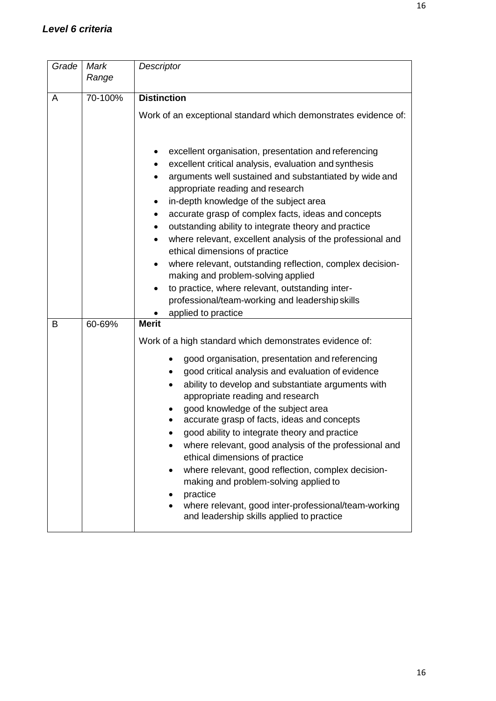| Grade | Mark    | Descriptor                                                                                                                                                                                                                                                                                                                                                                                                                                                                                                                                                                                                                                                                                                             |  |  |
|-------|---------|------------------------------------------------------------------------------------------------------------------------------------------------------------------------------------------------------------------------------------------------------------------------------------------------------------------------------------------------------------------------------------------------------------------------------------------------------------------------------------------------------------------------------------------------------------------------------------------------------------------------------------------------------------------------------------------------------------------------|--|--|
|       | Range   |                                                                                                                                                                                                                                                                                                                                                                                                                                                                                                                                                                                                                                                                                                                        |  |  |
|       | 70-100% | <b>Distinction</b>                                                                                                                                                                                                                                                                                                                                                                                                                                                                                                                                                                                                                                                                                                     |  |  |
| A     |         |                                                                                                                                                                                                                                                                                                                                                                                                                                                                                                                                                                                                                                                                                                                        |  |  |
|       |         | Work of an exceptional standard which demonstrates evidence of:                                                                                                                                                                                                                                                                                                                                                                                                                                                                                                                                                                                                                                                        |  |  |
|       |         |                                                                                                                                                                                                                                                                                                                                                                                                                                                                                                                                                                                                                                                                                                                        |  |  |
|       |         | excellent organisation, presentation and referencing<br>excellent critical analysis, evaluation and synthesis<br>arguments well sustained and substantiated by wide and<br>appropriate reading and research<br>in-depth knowledge of the subject area<br>accurate grasp of complex facts, ideas and concepts<br>٠<br>outstanding ability to integrate theory and practice<br>where relevant, excellent analysis of the professional and<br>ethical dimensions of practice<br>where relevant, outstanding reflection, complex decision-<br>making and problem-solving applied<br>to practice, where relevant, outstanding inter-<br>$\bullet$<br>professional/team-working and leadership skills<br>applied to practice |  |  |
| B     | 60-69%  | <b>Merit</b>                                                                                                                                                                                                                                                                                                                                                                                                                                                                                                                                                                                                                                                                                                           |  |  |
|       |         | Work of a high standard which demonstrates evidence of:                                                                                                                                                                                                                                                                                                                                                                                                                                                                                                                                                                                                                                                                |  |  |
|       |         | good organisation, presentation and referencing<br>good critical analysis and evaluation of evidence<br>ability to develop and substantiate arguments with<br>appropriate reading and research<br>good knowledge of the subject area<br>accurate grasp of facts, ideas and concepts<br>good ability to integrate theory and practice<br>where relevant, good analysis of the professional and<br>ethical dimensions of practice<br>where relevant, good reflection, complex decision-<br>making and problem-solving applied to<br>practice<br>where relevant, good inter-professional/team-working<br>and leadership skills applied to practice                                                                        |  |  |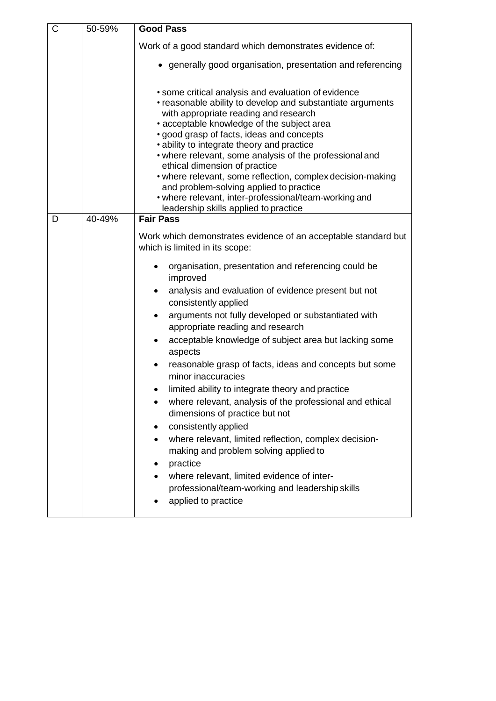| $\mathsf C$ | 50-59% | <b>Good Pass</b>                                                                                                                                                                                                                                                                                                                                                                                                                                                                                                                                                                                           |
|-------------|--------|------------------------------------------------------------------------------------------------------------------------------------------------------------------------------------------------------------------------------------------------------------------------------------------------------------------------------------------------------------------------------------------------------------------------------------------------------------------------------------------------------------------------------------------------------------------------------------------------------------|
|             |        | Work of a good standard which demonstrates evidence of:                                                                                                                                                                                                                                                                                                                                                                                                                                                                                                                                                    |
|             |        | • generally good organisation, presentation and referencing                                                                                                                                                                                                                                                                                                                                                                                                                                                                                                                                                |
|             |        | • some critical analysis and evaluation of evidence<br>• reasonable ability to develop and substantiate arguments<br>with appropriate reading and research<br>• acceptable knowledge of the subject area<br>· good grasp of facts, ideas and concepts<br>• ability to integrate theory and practice<br>• where relevant, some analysis of the professional and<br>ethical dimension of practice<br>• where relevant, some reflection, complex decision-making<br>and problem-solving applied to practice<br>• where relevant, inter-professional/team-working and<br>leadership skills applied to practice |
| D           | 40-49% | <b>Fair Pass</b>                                                                                                                                                                                                                                                                                                                                                                                                                                                                                                                                                                                           |
|             |        | Work which demonstrates evidence of an acceptable standard but<br>which is limited in its scope:                                                                                                                                                                                                                                                                                                                                                                                                                                                                                                           |
|             |        | organisation, presentation and referencing could be<br>improved<br>analysis and evaluation of evidence present but not<br>consistently applied<br>arguments not fully developed or substantiated with<br>appropriate reading and research<br>acceptable knowledge of subject area but lacking some<br>aspects<br>reasonable grasp of facts, ideas and concepts but some<br>minor inaccuracies<br>limited ability to integrate theory and practice                                                                                                                                                          |
|             |        | where relevant, analysis of the professional and ethical<br>dimensions of practice but not<br>consistently applied<br>where relevant, limited reflection, complex decision-<br>making and problem solving applied to<br>practice<br>where relevant, limited evidence of inter-<br>professional/team-working and leadership skills<br>applied to practice                                                                                                                                                                                                                                                   |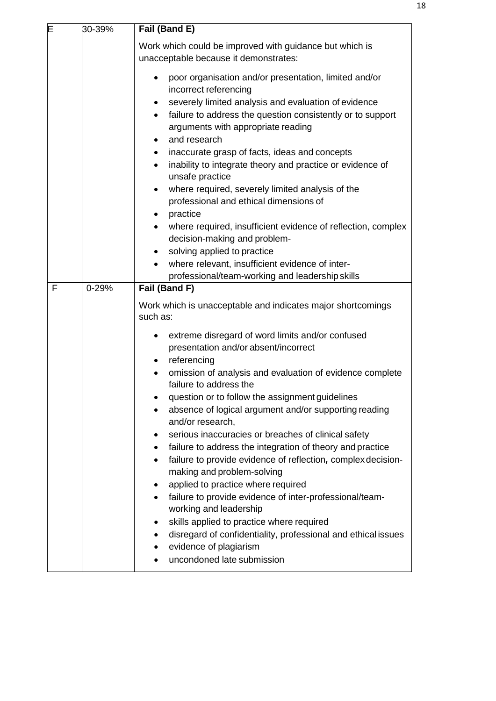| E | 30-39%    | Fail (Band E)                                                                                                                                                                                                                                                                                                                                                                                                                                                                                                                                                                                                                                                                                                                                                                                                                                                                                                                                                             |
|---|-----------|---------------------------------------------------------------------------------------------------------------------------------------------------------------------------------------------------------------------------------------------------------------------------------------------------------------------------------------------------------------------------------------------------------------------------------------------------------------------------------------------------------------------------------------------------------------------------------------------------------------------------------------------------------------------------------------------------------------------------------------------------------------------------------------------------------------------------------------------------------------------------------------------------------------------------------------------------------------------------|
|   |           | Work which could be improved with guidance but which is<br>unacceptable because it demonstrates:                                                                                                                                                                                                                                                                                                                                                                                                                                                                                                                                                                                                                                                                                                                                                                                                                                                                          |
|   |           | poor organisation and/or presentation, limited and/or<br>$\bullet$<br>incorrect referencing<br>severely limited analysis and evaluation of evidence<br>٠<br>failure to address the question consistently or to support<br>arguments with appropriate reading<br>and research<br>inaccurate grasp of facts, ideas and concepts<br>$\bullet$<br>inability to integrate theory and practice or evidence of<br>$\bullet$<br>unsafe practice<br>where required, severely limited analysis of the<br>$\bullet$<br>professional and ethical dimensions of<br>practice<br>where required, insufficient evidence of reflection, complex<br>decision-making and problem-<br>solving applied to practice<br>where relevant, insufficient evidence of inter-<br>$\bullet$<br>professional/team-working and leadership skills                                                                                                                                                          |
| F | $0 - 29%$ | Fail (Band F)                                                                                                                                                                                                                                                                                                                                                                                                                                                                                                                                                                                                                                                                                                                                                                                                                                                                                                                                                             |
|   |           | Work which is unacceptable and indicates major shortcomings<br>such as:<br>extreme disregard of word limits and/or confused<br>presentation and/or absent/incorrect<br>referencing<br>omission of analysis and evaluation of evidence complete<br>failure to address the<br>question or to follow the assignment guidelines<br>absence of logical argument and/or supporting reading<br>and/or research,<br>serious inaccuracies or breaches of clinical safety<br>failure to address the integration of theory and practice<br>٠<br>failure to provide evidence of reflection, complex decision-<br>$\bullet$<br>making and problem-solving<br>applied to practice where required<br>٠<br>failure to provide evidence of inter-professional/team-<br>$\bullet$<br>working and leadership<br>skills applied to practice where required<br>٠<br>disregard of confidentiality, professional and ethical issues<br>٠<br>evidence of plagiarism<br>uncondoned late submission |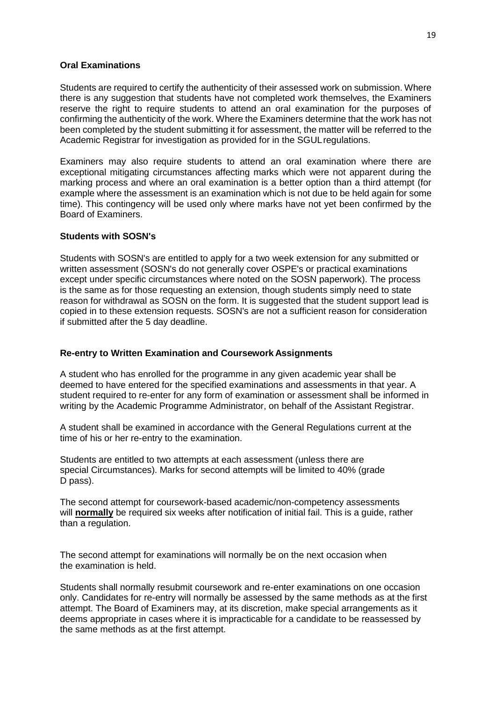### **Oral Examinations**

Students are required to certify the authenticity of their assessed work on submission. Where there is any suggestion that students have not completed work themselves, the Examiners reserve the right to require students to attend an oral examination for the purposes of confirming the authenticity of the work. Where the Examiners determine that the work has not been completed by the student submitting it for assessment, the matter will be referred to the Academic Registrar for investigation as provided for in the SGULregulations.

Examiners may also require students to attend an oral examination where there are exceptional mitigating circumstances affecting marks which were not apparent during the marking process and where an oral examination is a better option than a third attempt (for example where the assessment is an examination which is not due to be held again for some time). This contingency will be used only where marks have not yet been confirmed by the Board of Examiners.

### **Students with SOSN's**

Students with SOSN's are entitled to apply for a two week extension for any submitted or written assessment (SOSN's do not generally cover OSPE's or practical examinations except under specific circumstances where noted on the SOSN paperwork). The process is the same as for those requesting an extension, though students simply need to state reason for withdrawal as SOSN on the form. It is suggested that the student support lead is copied in to these extension requests. SOSN's are not a sufficient reason for consideration if submitted after the 5 day deadline.

### **Re-entry to Written Examination and Coursework Assignments**

A student who has enrolled for the programme in any given academic year shall be deemed to have entered for the specified examinations and assessments in that year. A student required to re-enter for any form of examination or assessment shall be informed in writing by the Academic Programme Administrator, on behalf of the Assistant Registrar.

A student shall be examined in accordance with the General Regulations current at the time of his or her re-entry to the examination.

Students are entitled to two attempts at each assessment (unless there are special Circumstances). Marks for second attempts will be limited to 40% (grade D pass).

The second attempt for coursework-based academic/non-competency assessments will **normally** be required six weeks after notification of initial fail. This is a guide, rather than a regulation.

The second attempt for examinations will normally be on the next occasion when the examination is held.

Students shall normally resubmit coursework and re-enter examinations on one occasion only. Candidates for re-entry will normally be assessed by the same methods as at the first attempt. The Board of Examiners may, at its discretion, make special arrangements as it deems appropriate in cases where it is impracticable for a candidate to be reassessed by the same methods as at the first attempt.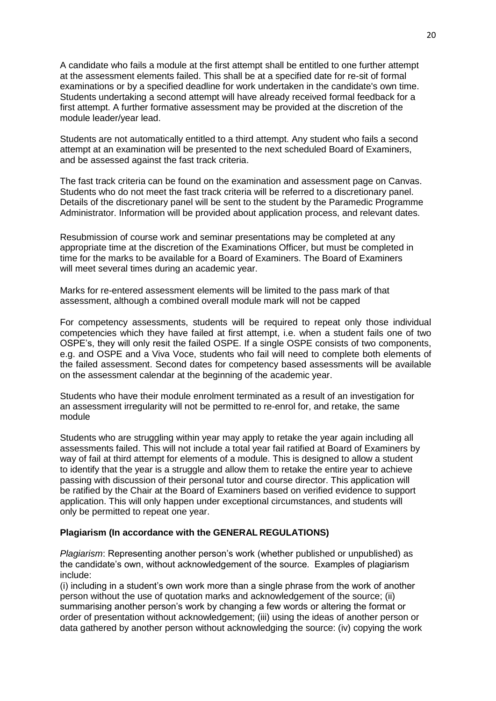A candidate who fails a module at the first attempt shall be entitled to one further attempt at the assessment elements failed. This shall be at a specified date for re-sit of formal examinations or by a specified deadline for work undertaken in the candidate's own time. Students undertaking a second attempt will have already received formal feedback for a first attempt. A further formative assessment may be provided at the discretion of the module leader/year lead.

Students are not automatically entitled to a third attempt. Any student who fails a second attempt at an examination will be presented to the next scheduled Board of Examiners, and be assessed against the fast track criteria.

The fast track criteria can be found on the examination and assessment page on Canvas. Students who do not meet the fast track criteria will be referred to a discretionary panel. Details of the discretionary panel will be sent to the student by the Paramedic Programme Administrator. Information will be provided about application process, and relevant dates.

Resubmission of course work and seminar presentations may be completed at any appropriate time at the discretion of the Examinations Officer, but must be completed in time for the marks to be available for a Board of Examiners. The Board of Examiners will meet several times during an academic year.

Marks for re-entered assessment elements will be limited to the pass mark of that assessment, although a combined overall module mark will not be capped

For competency assessments, students will be required to repeat only those individual competencies which they have failed at first attempt, i.e. when a student fails one of two OSPE's, they will only resit the failed OSPE. If a single OSPE consists of two components, e.g. and OSPE and a Viva Voce, students who fail will need to complete both elements of the failed assessment. Second dates for competency based assessments will be available on the assessment calendar at the beginning of the academic year.

Students who have their module enrolment terminated as a result of an investigation for an assessment irregularity will not be permitted to re-enrol for, and retake, the same module

Students who are struggling within year may apply to retake the year again including all assessments failed. This will not include a total year fail ratified at Board of Examiners by way of fail at third attempt for elements of a module. This is designed to allow a student to identify that the year is a struggle and allow them to retake the entire year to achieve passing with discussion of their personal tutor and course director. This application will be ratified by the Chair at the Board of Examiners based on verified evidence to support application. This will only happen under exceptional circumstances, and students will only be permitted to repeat one year.

### **Plagiarism (In accordance with the GENERAL REGULATIONS)**

*Plagiarism*: Representing another person's work (whether published or unpublished) as the candidate's own, without acknowledgement of the source. Examples of plagiarism include:

(i) including in a student's own work more than a single phrase from the work of another person without the use of quotation marks and acknowledgement of the source; (ii) summarising another person's work by changing a few words or altering the format or order of presentation without acknowledgement; (iii) using the ideas of another person or data gathered by another person without acknowledging the source: (iv) copying the work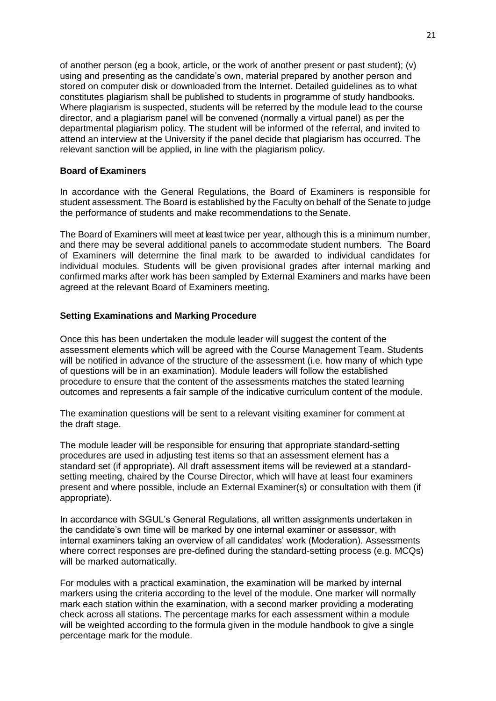of another person (eg a book, article, or the work of another present or past student); (v) using and presenting as the candidate's own, material prepared by another person and stored on computer disk or downloaded from the Internet. Detailed guidelines as to what constitutes plagiarism shall be published to students in programme of study handbooks. Where plagiarism is suspected, students will be referred by the module lead to the course director, and a plagiarism panel will be convened (normally a virtual panel) as per the departmental plagiarism policy. The student will be informed of the referral, and invited to attend an interview at the University if the panel decide that plagiarism has occurred. The relevant sanction will be applied, in line with the plagiarism policy.

### **Board of Examiners**

In accordance with the General Regulations, the Board of Examiners is responsible for student assessment. The Board is established by the Faculty on behalf of the Senate to judge the performance of students and make recommendations to theSenate.

The Board of Examiners will meet at least twice per year, although this is a minimum number, and there may be several additional panels to accommodate student numbers. The Board of Examiners will determine the final mark to be awarded to individual candidates for individual modules. Students will be given provisional grades after internal marking and confirmed marks after work has been sampled by External Examiners and marks have been agreed at the relevant Board of Examiners meeting.

## **Setting Examinations and Marking Procedure**

Once this has been undertaken the module leader will suggest the content of the assessment elements which will be agreed with the Course Management Team. Students will be notified in advance of the structure of the assessment (i.e. how many of which type of questions will be in an examination). Module leaders will follow the established procedure to ensure that the content of the assessments matches the stated learning outcomes and represents a fair sample of the indicative curriculum content of the module.

The examination questions will be sent to a relevant visiting examiner for comment at the draft stage.

The module leader will be responsible for ensuring that appropriate standard-setting procedures are used in adjusting test items so that an assessment element has a standard set (if appropriate). All draft assessment items will be reviewed at a standardsetting meeting, chaired by the Course Director, which will have at least four examiners present and where possible, include an External Examiner(s) or consultation with them (if appropriate).

In accordance with SGUL's General Regulations, all written assignments undertaken in the candidate's own time will be marked by one internal examiner or assessor, with internal examiners taking an overview of all candidates' work (Moderation). Assessments where correct responses are pre-defined during the standard-setting process (e.g. MCQs) will be marked automatically.

For modules with a practical examination, the examination will be marked by internal markers using the criteria according to the level of the module. One marker will normally mark each station within the examination, with a second marker providing a moderating check across all stations. The percentage marks for each assessment within a module will be weighted according to the formula given in the module handbook to give a single percentage mark for the module.